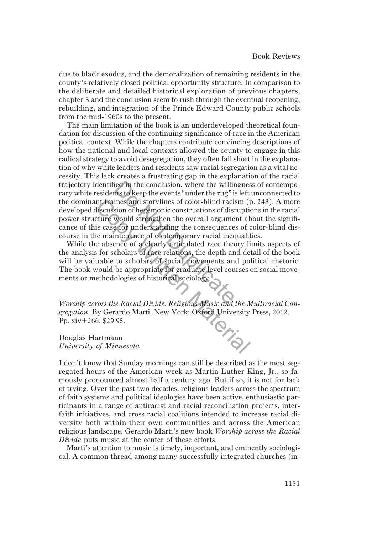due to black exodus, and the demoralization of remaining residents in the county's relatively closed political opportunity structure. In comparison to the deliberate and detailed historical exploration of previous chapters, chapter 8 and the conclusion seem to rush through the eventual reopening, rebuilding, and integration of the Prince Edward County public schools from the mid-1960s to the present.

The main limitation of the book is an underdeveloped theoretical foundation for discussion of the continuing significance of race in the American political context. While the chapters contribute convincing descriptions of how the national and local contexts allowed the county to engage in this radical strategy to avoid desegregation, they often fall short in the explanation of why white leaders and residents saw racial segregation as a vital necessity. This lack creates a frustrating gap in the explanation of the racial trajectory identified in the conclusion, where the willingness of contemporary white residents to keep the events"under the rug"is left unconnected to the dominant frames and storylines of color-blind racism (p. 248). A more developed discussion of hegemonic constructions of disruptions in the racial power structure would strengthen the overall argument about the significance of this case for understanding the consequences of color-blind discourse in the maintenance of contemporary racial inequalities. ied in the conclusion, where the willingthe<br>its to keep the events "under the rug" is<br>mess and storylines of color-blind racis<br>is most and storylines of color-blind racis<br>is would strengthen the overall argume<br> $\epsilon$  for und nt frames and storylines of color-blind racism (potention) discussion of hegemonic constructions of disrupticute would strengthen the overall argument at is case for understanding the consequences of ore maintenance of con

While the absence of a clearly articulated race theory limits aspects of the analysis for scholars of race relations, the depth and detail of the book will be valuable to scholars of social movements and political rhetoric. The book would be appropriate for graduate-level courses on social movements or methodologies of historical sociology.

Worship across the Racial Divide: Religious Music and the Multiracial Congregation. By Gerardo Marti. New York: Oxford University Press, 2012.<br>Pp. xiv+266. \$29.95. Pp. xiv+266. \$29.95.

Douglas Hartmann University of Minnesota

I don't know that Sunday mornings can still be described as the most segregated hours of the American week as Martin Luther King, Jr., so famously pronounced almost half a century ago. But if so, it is not for lack of trying. Over the past two decades, religious leaders across the spectrum of faith systems and political ideologies have been active, enthusiastic participants in a range of antiracist and racial reconciliation projects, interfaith initiatives, and cross racial coalitions intended to increase racial diversity both within their own communities and across the American religious landscape. Gerardo Marti's new book Worship across the Racial Divide puts music at the center of these efforts.

Marti's attention to music is timely, important, and eminently sociological. A common thread among many successfully integrated churches (in-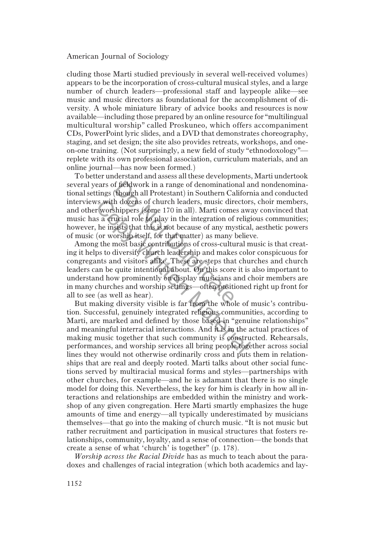## American Journal of Sociology

cluding those Marti studied previously in several well-received volumes) appears to be the incorporation of cross-cultural musical styles, and a large number of church leaders—professional staff and laypeople alike—see music and music directors as foundational for the accomplishment of diversity. A whole miniature library of advice books and resources is now available—including those prepared by an online resource for"multilingual multicultural worship" called Proskuneo, which offers accompaniment CDs, PowerPoint lyric slides, and a DVD that demonstrates choreography, staging, and set design; the site also provides retreats, workshops, and oneon-one training. (Not surprisingly, a new field of study "ethnodoxology" replete with its own professional association, curriculum materials, and an online journal—has now been formed.

To better understand and assess all these developments, Marti undertook several years of fieldwork in a range of denominational and nondenominational settings (though all Protestant) in Southern California and conducted interviews with dozens of church leaders, music directors, choir members, and other worshippers (some 170 in all). Marti comes away convinced that music has a crucial role to play in the integration of religious communities; however, he insists that this is not because of any mystical, aesthetic powers of music (or worship itself, for that matter) as many believe. f fieldwork in a range of denomination<br>though all Protestant) in Southern Ca<br>h dozens of church leaders, music direction<br>thippers (some 170 in all). Marti come<br>uvial role to play in the integration of<br>sists that this is no

Among the most basic contributions of cross-cultural music is that creating it helps to diversify church leadership and makes color conspicuous for congregants and visitors alike. These are steps that churches and church leaders can be quite intentional about. On this score it is also important to understand how prominently on display musicians and choir members are in many churches and worship settings—often positioned right up front for all to see (as well as hear). As with dozens of church leaders, music director<br>
r worshippers (some 170 in all). Marti comes aw<br>
s a crucial role to play in the integration of relig<br>
he insists that this is not because of any mystical<br>
(or worship its

But making diversity visible is far from the whole of music's contribution. Successful, genuinely integrated religious communities, according to Marti, are marked and defined by those based in "genuine relationships" and meaningful interracial interactions. And it is in the actual practices of making music together that such community is constructed. Rehearsals, performances, and worship services all bring people together across social lines they would not otherwise ordinarily cross and puts them in relationships that are real and deeply rooted. Marti talks about other social functions served by multiracial musical forms and styles—partnerships with other churches, for example—and he is adamant that there is no single model for doing this. Nevertheless, the key for him is clearly in how all interactions and relationships are embedded within the ministry and workshop of any given congregation. Here Marti smartly emphasizes the huge amounts of time and energy—all typically underestimated by musicians themselves—that go into the making of church music. "It is not music but rather recruitment and participation in musical structures that fosters relationships, community, loyalty, and a sense of connection—the bonds that create a sense of what 'church' is together"  $(p. 178)$ .

Worship across the Racial Divide has as much to teach about the paradoxes and challenges of racial integration (which both academics and lay